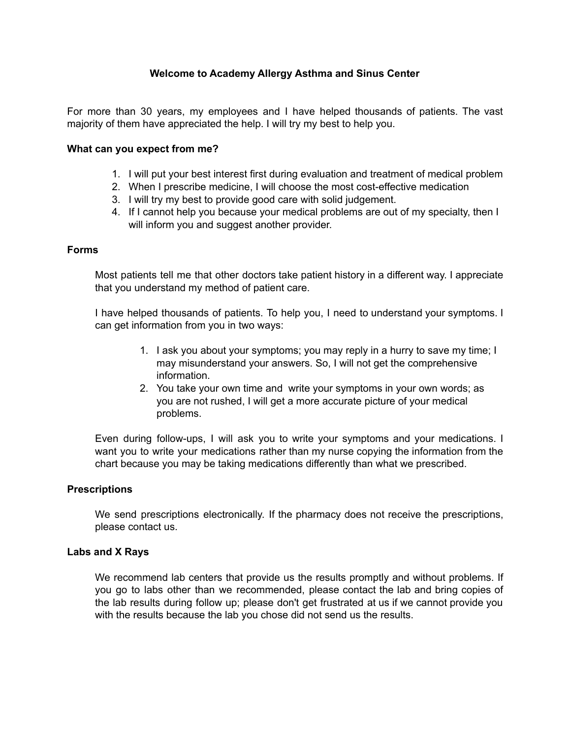# **Welcome to Academy Allergy Asthma and Sinus Center**

For more than 30 years, my employees and I have helped thousands of patients. The vast majority of them have appreciated the help. I will try my best to help you.

## **What can you expect from me?**

- 1. I will put your best interest first during evaluation and treatment of medical problem
- 2. When I prescribe medicine, I will choose the most cost-effective medication
- 3. I will try my best to provide good care with solid judgement.
- 4. If I cannot help you because your medical problems are out of my specialty, then I will inform you and suggest another provider.

## **Forms**

Most patients tell me that other doctors take patient history in a different way. I appreciate that you understand my method of patient care.

I have helped thousands of patients. To help you, I need to understand your symptoms. I can get information from you in two ways:

- 1. I ask you about your symptoms; you may reply in a hurry to save my time; I may misunderstand your answers. So, I will not get the comprehensive information.
- 2. You take your own time and write your symptoms in your own words; as you are not rushed, I will get a more accurate picture of your medical problems.

Even during follow-ups, I will ask you to write your symptoms and your medications. I want you to write your medications rather than my nurse copying the information from the chart because you may be taking medications differently than what we prescribed.

## **Prescriptions**

We send prescriptions electronically. If the pharmacy does not receive the prescriptions, please contact us.

## **Labs and X Rays**

We recommend lab centers that provide us the results promptly and without problems. If you go to labs other than we recommended, please contact the lab and bring copies of the lab results during follow up; please don't get frustrated at us if we cannot provide you with the results because the lab you chose did not send us the results.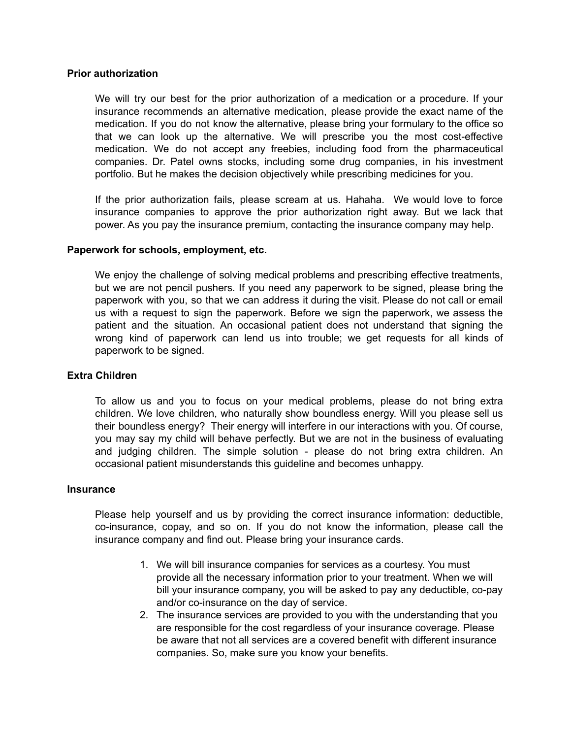## **Prior authorization**

We will try our best for the prior authorization of a medication or a procedure. If your insurance recommends an alternative medication, please provide the exact name of the medication. If you do not know the alternative, please bring your formulary to the office so that we can look up the alternative. We will prescribe you the most cost-effective medication. We do not accept any freebies, including food from the pharmaceutical companies. Dr. Patel owns stocks, including some drug companies, in his investment portfolio. But he makes the decision objectively while prescribing medicines for you.

If the prior authorization fails, please scream at us. Hahaha. We would love to force insurance companies to approve the prior authorization right away. But we lack that power. As you pay the insurance premium, contacting the insurance company may help.

### **Paperwork for schools, employment, etc.**

We enjoy the challenge of solving medical problems and prescribing effective treatments, but we are not pencil pushers. If you need any paperwork to be signed, please bring the paperwork with you, so that we can address it during the visit. Please do not call or email us with a request to sign the paperwork. Before we sign the paperwork, we assess the patient and the situation. An occasional patient does not understand that signing the wrong kind of paperwork can lend us into trouble; we get requests for all kinds of paperwork to be signed.

# **Extra Children**

To allow us and you to focus on your medical problems, please do not bring extra children. We love children, who naturally show boundless energy. Will you please sell us their boundless energy? Their energy will interfere in our interactions with you. Of course, you may say my child will behave perfectly. But we are not in the business of evaluating and judging children. The simple solution - please do not bring extra children. An occasional patient misunderstands this guideline and becomes unhappy.

### **Insurance**

Please help yourself and us by providing the correct insurance information: deductible, co-insurance, copay, and so on. If you do not know the information, please call the insurance company and find out. Please bring your insurance cards.

- 1. We will bill insurance companies for services as a courtesy. You must provide all the necessary information prior to your treatment. When we will bill your insurance company, you will be asked to pay any deductible, co-pay and/or co-insurance on the day of service.
- 2. The insurance services are provided to you with the understanding that you are responsible for the cost regardless of your insurance coverage. Please be aware that not all services are a covered benefit with different insurance companies. So, make sure you know your benefits.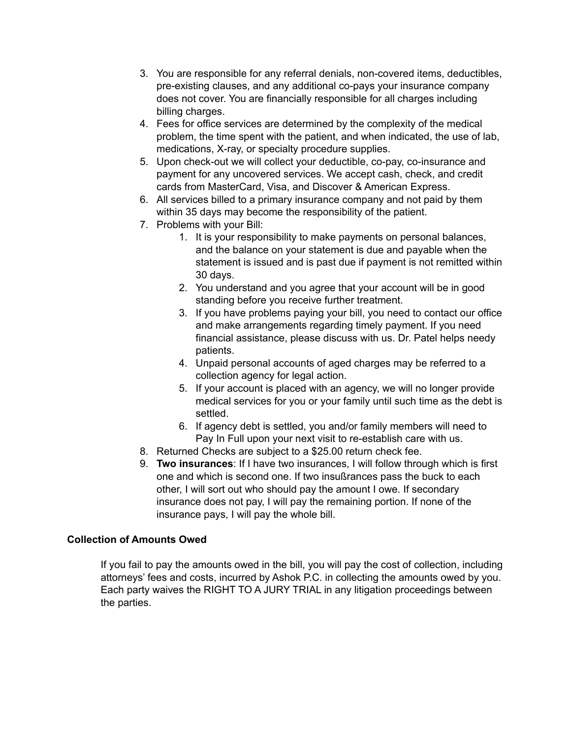- 3. You are responsible for any referral denials, non-covered items, deductibles, pre-existing clauses, and any additional co-pays your insurance company does not cover. You are financially responsible for all charges including billing charges.
- 4. Fees for office services are determined by the complexity of the medical problem, the time spent with the patient, and when indicated, the use of lab, medications, X-ray, or specialty procedure supplies.
- 5. Upon check-out we will collect your deductible, co-pay, co-insurance and payment for any uncovered services. We accept cash, check, and credit cards from MasterCard, Visa, and Discover & American Express.
- 6. All services billed to a primary insurance company and not paid by them within 35 days may become the responsibility of the patient.
- 7. Problems with your Bill:
	- 1. It is your responsibility to make payments on personal balances, and the balance on your statement is due and payable when the statement is issued and is past due if payment is not remitted within 30 days.
	- 2. You understand and you agree that your account will be in good standing before you receive further treatment.
	- 3. If you have problems paying your bill, you need to contact our office and make arrangements regarding timely payment. If you need financial assistance, please discuss with us. Dr. Patel helps needy patients.
	- 4. Unpaid personal accounts of aged charges may be referred to a collection agency for legal action.
	- 5. If your account is placed with an agency, we will no longer provide medical services for you or your family until such time as the debt is settled.
	- 6. If agency debt is settled, you and/or family members will need to Pay In Full upon your next visit to re-establish care with us.
- 8. Returned Checks are subject to a \$25.00 return check fee.
- 9. **Two insurances**: If I have two insurances, I will follow through which is first one and which is second one. If two insußrances pass the buck to each other, I will sort out who should pay the amount I owe. If secondary insurance does not pay, I will pay the remaining portion. If none of the insurance pays, I will pay the whole bill.

# **Collection of Amounts Owed**

If you fail to pay the amounts owed in the bill, you will pay the cost of collection, including attorneys' fees and costs, incurred by Ashok P.C. in collecting the amounts owed by you. Each party waives the RIGHT TO A JURY TRIAL in any litigation proceedings between the parties.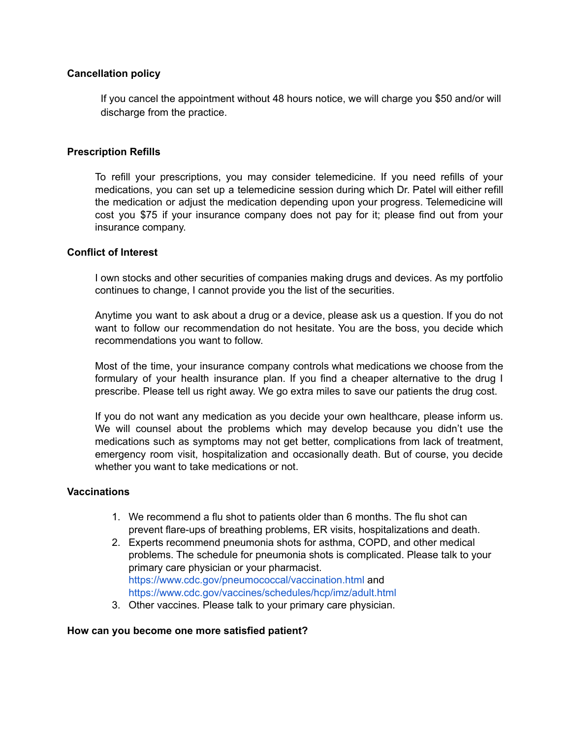# **Cancellation policy**

If you cancel the appointment without 48 hours notice, we will charge you \$50 and/or will discharge from the practice.

# **Prescription Refills**

To refill your prescriptions, you may consider telemedicine. If you need refills of your medications, you can set up a telemedicine session during which Dr. Patel will either refill the medication or adjust the medication depending upon your progress. Telemedicine will cost you \$75 if your insurance company does not pay for it; please find out from your insurance company.

# **Conflict of Interest**

I own stocks and other securities of companies making drugs and devices. As my portfolio continues to change, I cannot provide you the list of the securities.

Anytime you want to ask about a drug or a device, please ask us a question. If you do not want to follow our recommendation do not hesitate. You are the boss, you decide which recommendations you want to follow.

Most of the time, your insurance company controls what medications we choose from the formulary of your health insurance plan. If you find a cheaper alternative to the drug I prescribe. Please tell us right away. We go extra miles to save our patients the drug cost.

If you do not want any medication as you decide your own healthcare, please inform us. We will counsel about the problems which may develop because you didn't use the medications such as symptoms may not get better, complications from lack of treatment, emergency room visit, hospitalization and occasionally death. But of course, you decide whether you want to take medications or not.

## **Vaccinations**

- 1. We recommend a flu shot to patients older than 6 months. The flu shot can prevent flare-ups of breathing problems, ER visits, hospitalizations and death.
- 2. Experts recommend pneumonia shots for asthma, COPD, and other medical problems. The schedule for pneumonia shots is complicated. Please talk to your primary care physician or your pharmacist. <https://www.cdc.gov/pneumococcal/vaccination.html> and <https://www.cdc.gov/vaccines/schedules/hcp/imz/adult.html>
- 3. Other vaccines. Please talk to your primary care physician.

## **How can you become one more satisfied patient?**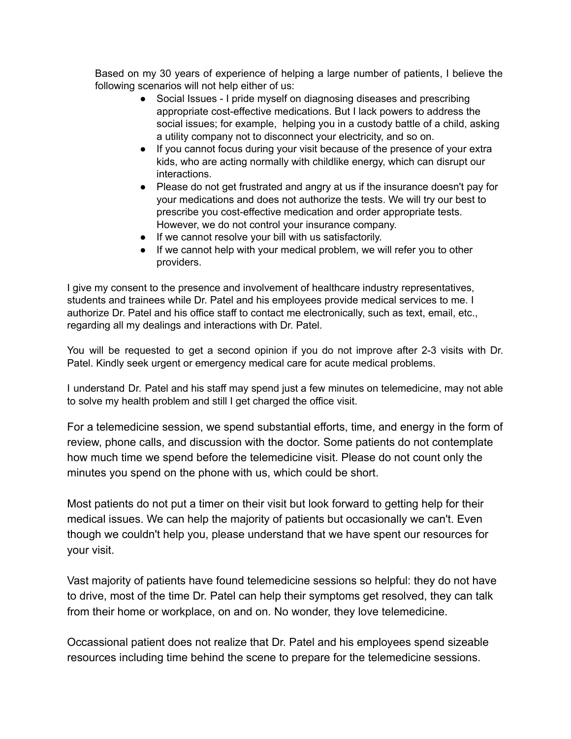Based on my 30 years of experience of helping a large number of patients, I believe the following scenarios will not help either of us:

- Social Issues I pride myself on diagnosing diseases and prescribing appropriate cost-effective medications. But I lack powers to address the social issues; for example, helping you in a custody battle of a child, asking a utility company not to disconnect your electricity, and so on.
- If you cannot focus during your visit because of the presence of your extra kids, who are acting normally with childlike energy, which can disrupt our interactions.
- Please do not get frustrated and angry at us if the insurance doesn't pay for your medications and does not authorize the tests. We will try our best to prescribe you cost-effective medication and order appropriate tests. However, we do not control your insurance company.
- If we cannot resolve your bill with us satisfactorily.
- If we cannot help with your medical problem, we will refer you to other providers.

I give my consent to the presence and involvement of healthcare industry representatives, students and trainees while Dr. Patel and his employees provide medical services to me. I authorize Dr. Patel and his office staff to contact me electronically, such as text, email, etc., regarding all my dealings and interactions with Dr. Patel.

You will be requested to get a second opinion if you do not improve after 2-3 visits with Dr. Patel. Kindly seek urgent or emergency medical care for acute medical problems.

I understand Dr. Patel and his staff may spend just a few minutes on telemedicine, may not able to solve my health problem and still I get charged the office visit.

For a telemedicine session, we spend substantial efforts, time, and energy in the form of review, phone calls, and discussion with the doctor. Some patients do not contemplate how much time we spend before the telemedicine visit. Please do not count only the minutes you spend on the phone with us, which could be short.

Most patients do not put a timer on their visit but look forward to getting help for their medical issues. We can help the majority of patients but occasionally we can't. Even though we couldn't help you, please understand that we have spent our resources for your visit.

Vast majority of patients have found telemedicine sessions so helpful: they do not have to drive, most of the time Dr. Patel can help their symptoms get resolved, they can talk from their home or workplace, on and on. No wonder, they love telemedicine.

Occassional patient does not realize that Dr. Patel and his employees spend sizeable resources including time behind the scene to prepare for the telemedicine sessions.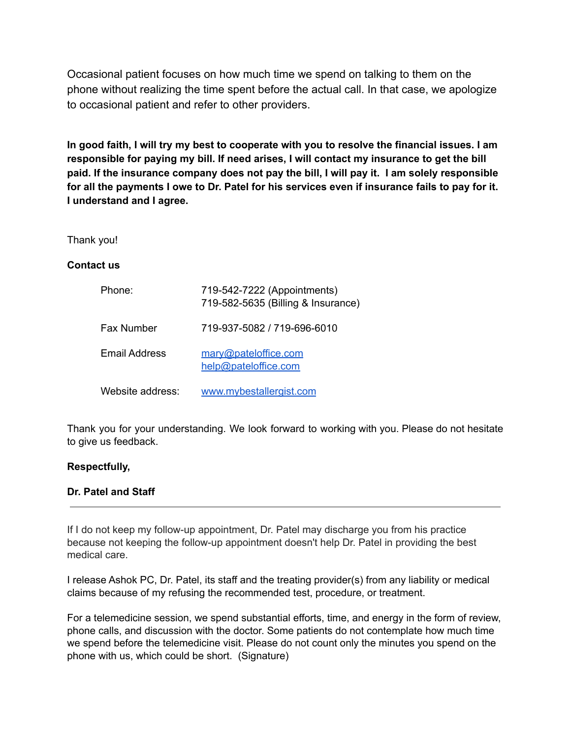Occasional patient focuses on how much time we spend on talking to them on the phone without realizing the time spent before the actual call. In that case, we apologize to occasional patient and refer to other providers.

In good faith, I will try my best to cooperate with you to resolve the financial issues. I am **responsible for paying my bill. If need arises, I will contact my insurance to get the bill paid. If the insurance company does not pay the bill, I will pay it. I am solely responsible** for all the payments I owe to Dr. Patel for his services even if insurance fails to pay for it. **I understand and I agree.**

Thank you!

# **Contact us**

| Phone:           | 719-542-7222 (Appointments)<br>719-582-5635 (Billing & Insurance) |
|------------------|-------------------------------------------------------------------|
| Fax Number       | 719-937-5082 / 719-696-6010                                       |
| Email Address    | mary@pateloffice.com<br>help@pateloffice.com                      |
| Website address: | www.mybestallergist.com                                           |

Thank you for your understanding. We look forward to working with you. Please do not hesitate to give us feedback.

## **Respectfully,**

# **Dr. Patel and Staff**

If I do not keep my follow-up appointment, Dr. Patel may discharge you from his practice because not keeping the follow-up appointment doesn't help Dr. Patel in providing the best medical care.

I release Ashok PC, Dr. Patel, its staff and the treating provider(s) from any liability or medical claims because of my refusing the recommended test, procedure, or treatment.

For a telemedicine session, we spend substantial efforts, time, and energy in the form of review, phone calls, and discussion with the doctor. Some patients do not contemplate how much time we spend before the telemedicine visit. Please do not count only the minutes you spend on the phone with us, which could be short. (Signature)